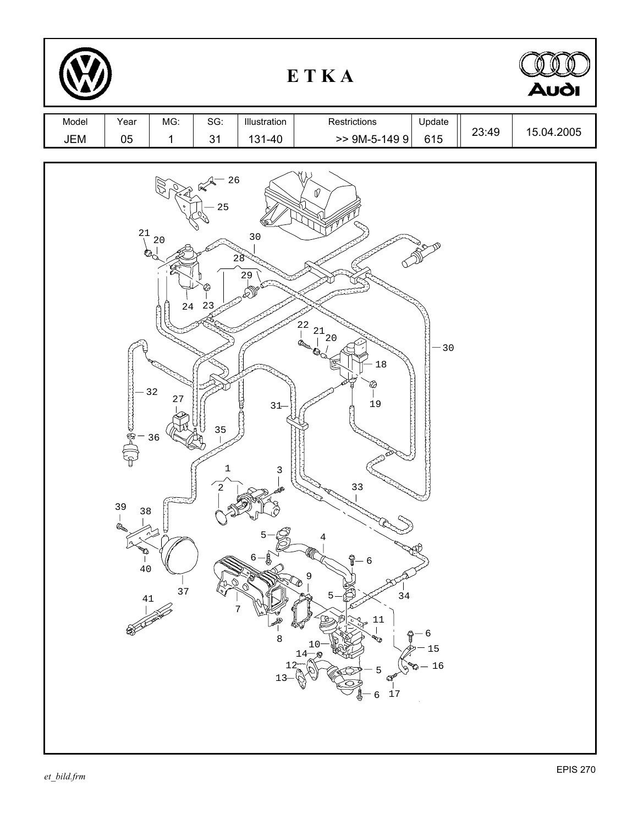|              |                                                            |                                                            |                                                      |                                                             | ETKA                                                                                                                                                                                                                               |                                   |       | <b>Audi</b> |
|--------------|------------------------------------------------------------|------------------------------------------------------------|------------------------------------------------------|-------------------------------------------------------------|------------------------------------------------------------------------------------------------------------------------------------------------------------------------------------------------------------------------------------|-----------------------------------|-------|-------------|
| Model<br>JEM | Year<br>05                                                 | MG:<br>$\mathbf{1}$                                        | SG:<br>31                                            | Illustration<br>131-40                                      | Restrictions<br>$> 9M-5-1499$                                                                                                                                                                                                      | Update<br>615                     | 23:49 | 15.04.2005  |
|              | 21<br>Ò.<br><b>POCT</b><br>39<br>38<br>la a<br>$\ddot{40}$ | $20$<br>$-32$<br>$2\,7$<br>36<br>¤<br>37<br>$\frac{41}{1}$ | $\frac{1}{2}$ 26<br>25<br>$24 \t 23$<br>35<br>1<br>2 | 30<br>28<br>29<br>$31 -$<br>₿<br>3<br>$6 -$<br>₿<br>8<br>13 | V<br>$\begin{array}{c} 22 \\ 21 \\ 21 \\ 20 \end{array}$<br><b>Brown Corp.</b><br>$1\,8$<br>19<br>33<br>6<br>9<br>34<br>11<br><b>RTA</b><br>$14\frac{10}{\sqrt{N}}$<br>$12\widetilde{a}$<br>5<br>$\mathcal{Q}$<br>17<br>$\epsilon$ | $-30$<br>$\cdot$ 6<br>15<br>$-16$ |       |             |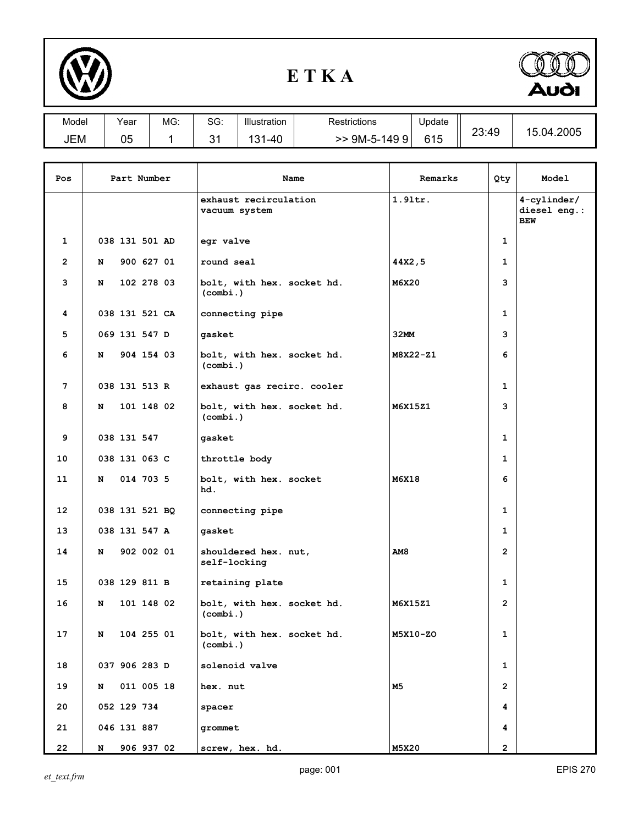

## **E T K A**



| Model | Year     | MG: | SG:     | Illustration                       | Restrictions    | Update |       |                            |
|-------|----------|-----|---------|------------------------------------|-----------------|--------|-------|----------------------------|
| JEM   | በፍ<br>uJ |     | ົ.<br>ັ | $\overline{10}$<br>24<br>`−4∪<br>ື | $9M-5-$<br>1499 | 615    | 23:49 | 4.2005<br>้เ<br>74.<br>. ب |

| Pos |   | Part Number    | Name                                   | Remarks    | Qty            | Model                                        |
|-----|---|----------------|----------------------------------------|------------|----------------|----------------------------------------------|
|     |   |                | exhaust recirculation<br>vacuum system | $1.9$ ltr. |                | $4$ -cylinder/<br>diesel eng.:<br><b>BEW</b> |
| 1   |   | 038 131 501 AD | egr valve                              |            | 1              |                                              |
| 2   | N | 900 627 01     | round seal                             | 44X2,5     | 1              |                                              |
| 3   | N | 102 278 03     | bolt, with hex. socket hd.<br>(combi.) | M6X20      | 3              |                                              |
| 4   |   | 038 131 521 CA | connecting pipe                        |            | 1              |                                              |
| 5   |   | 069 131 547 D  | gasket                                 | 32MM       | 3              |                                              |
| 6   | N | 904 154 03     | bolt, with hex. socket hd.<br>(combi.) | M8X22-Z1   | 6              |                                              |
| 7   |   | 038 131 513 R  | exhaust gas recirc. cooler             |            | 1              |                                              |
| 8   | N | 101 148 02     | bolt, with hex. socket hd.<br>(combi.) | M6X15Z1    | 3              |                                              |
| 9   |   | 038 131 547    | gasket                                 |            | 1              |                                              |
| 10  |   | 038 131 063 C  | throttle body                          |            | $\mathbf{1}$   |                                              |
| 11  | N | 014 703 5      | bolt, with hex. socket<br>hd.          | M6X18      | 6              |                                              |
| 12  |   | 038 131 521 BQ | connecting pipe                        |            | 1              |                                              |
| 13  |   | 038 131 547 A  | gasket                                 |            | 1              |                                              |
| 14  | N | 902 002 01     | shouldered hex. nut,<br>self-locking   | AM8        | $\overline{2}$ |                                              |
| 15  |   | 038 129 811 B  | retaining plate                        |            | 1              |                                              |
| 16  | N | 101 148 02     | bolt, with hex. socket hd.<br>(combi.) | M6X15Z1    | $\overline{2}$ |                                              |
| 17  | N | 104 255 01     | bolt, with hex. socket hd.<br>(combi.) | M5X10-ZO   | 1              |                                              |
| 18  |   | 037 906 283 D  | solenoid valve                         |            | $\mathbf{1}$   |                                              |
| 19  | N | 011 005 18     | hex. nut                               | <b>M5</b>  | $\overline{2}$ |                                              |
| 20  |   | 052 129 734    | spacer                                 |            | 4              |                                              |
| 21  |   | 046 131 887    | grommet                                |            | 4              |                                              |
| 22  | N | 906 937 02     | screw, hex. hd.                        | M5X20      | $\overline{2}$ |                                              |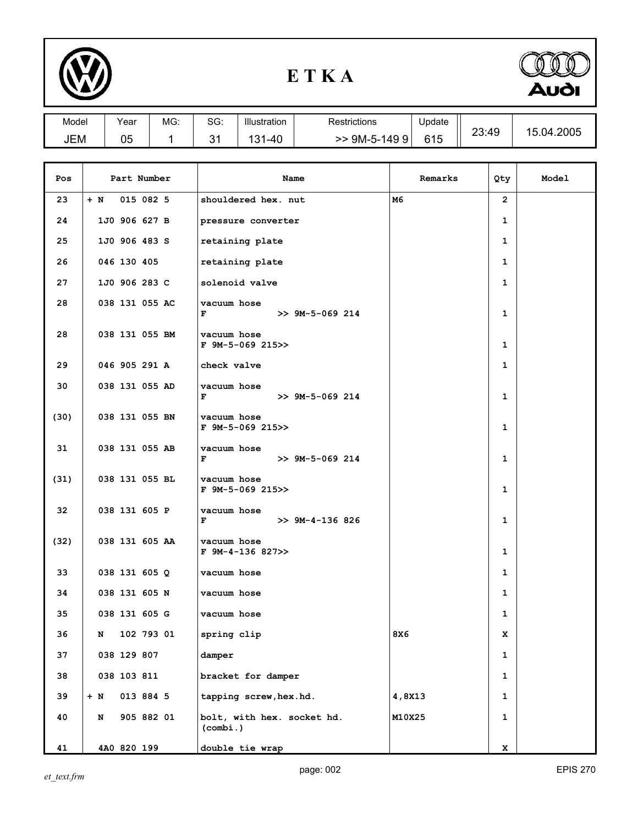

## **E T K A**



| Model | Year | MG. | SG:     | Illustration         | Restrictions        | Update |       |                     |
|-------|------|-----|---------|----------------------|---------------------|--------|-------|---------------------|
| JEM   | 05   |     | Λ.<br>ັ | 1 O 1<br>$-40$<br>ں۔ | 9M-5-149<br>9<br>>> | 615    | 23:49 | .2005<br>15.<br>.04 |

| Pos  | Part Number        | Name                                   | Remarks | Qty                   | Model |
|------|--------------------|----------------------------------------|---------|-----------------------|-------|
| 23   | 015 082 5<br>$+ N$ | shouldered hex. nut                    | M6      | $\mathbf{2}^{\prime}$ |       |
| 24   | 1J0 906 627 B      | pressure converter                     |         | 1                     |       |
| 25   | 1J0 906 483 S      | retaining plate                        |         | $\mathbf 1$           |       |
| 26   | 046 130 405        | retaining plate                        |         | 1                     |       |
| 27   | 1J0 906 283 C      | solenoid valve                         |         | $\mathbf{1}$          |       |
| 28   | 038 131 055 AC     | vacuum hose<br>F<br>$>> 9M-5-069214$   |         | 1                     |       |
| 28   | 038 131 055 BM     | vacuum hose<br>F 9M-5-069 215>>        |         | 1                     |       |
| 29   | 046 905 291 A      | check valve                            |         | $\mathbf 1$           |       |
| 30   | 038 131 055 AD     | vacuum hose<br>$>> 9M-5-069214$<br>F   |         | $\mathbf 1$           |       |
| (30) | 038 131 055 BN     | vacuum hose<br>$F$ 9M-5-069 215>>      |         | 1                     |       |
| 31   | 038 131 055 AB     | vacuum hose<br>F<br>$>> 9M-5-069214$   |         | 1                     |       |
| (31) | 038 131 055 BL     | vacuum hose<br>$F$ 9M-5-069 215>>      |         | 1                     |       |
| 32   | 038 131 605 P      | vacuum hose<br>F<br>$>> 9M-4-136826$   |         | 1                     |       |
| (32) | 038 131 605 AA     | vacuum hose<br>$F$ 9M-4-136 827>>      |         | 1                     |       |
| 33   | 038 131 605 Q      | vacuum hose                            |         | 1                     |       |
| 34   | 038 131 605 N      | vacuum hose                            |         | 1                     |       |
| 35   | 038 131 605 G      | vacuum hose                            |         | 1                     |       |
| 36   | 102 793 01<br>N    | spring clip                            | 8X6     | x                     |       |
| 37   | 038 129 807        | damper                                 |         | 1                     |       |
| 38   | 038 103 811        | bracket for damper                     |         | 1                     |       |
| 39   | 013 884 5<br>$+ N$ | tapping screw, hex.hd.                 | 4,8X13  | 1                     |       |
| 40   | 905 882 01<br>N    | bolt, with hex. socket hd.<br>(combi.) | M10X25  | 1                     |       |
| 41   | 4A0 820 199        | double tie wrap                        |         | x                     |       |